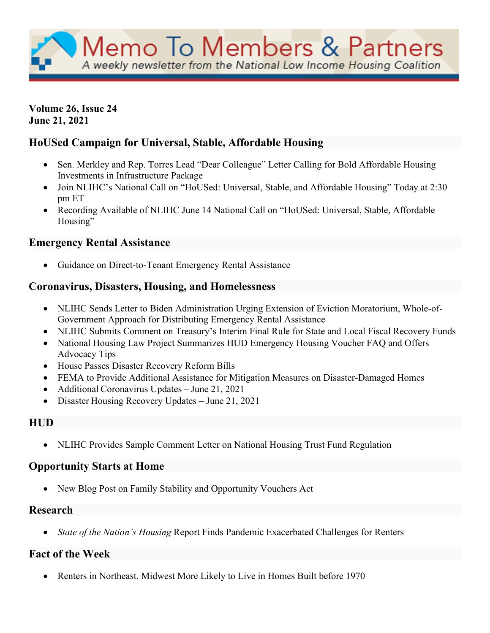Memo To Members & Partners A weekly newsletter from the National Low Income Housing Coalition

**Volume 26, Issue 24 June 21, 2021**

## **HoUSed Campaign for Universal, Stable, Affordable Housing**

- Sen. Merkley and Rep. Torres Lead "Dear Colleague" Letter Calling for Bold Affordable Housing Investments in Infrastructure Package
- Join NLIHC's National Call on "HoUSed: Universal, Stable, and Affordable Housing" Today at 2:30 pm ET
- Recording Available of NLIHC June 14 National Call on "HoUSed: Universal, Stable, Affordable Housing"

## **Emergency Rental Assistance**

• Guidance on Direct-to-Tenant Emergency Rental Assistance

### **Coronavirus, Disasters, Housing, and Homelessness**

- NLIHC Sends Letter to Biden Administration Urging Extension of Eviction Moratorium, Whole-of-Government Approach for Distributing Emergency Rental Assistance
- NLIHC Submits Comment on Treasury's Interim Final Rule for State and Local Fiscal Recovery Funds
- National Housing Law Project Summarizes HUD Emergency Housing Voucher FAQ and Offers Advocacy Tips
- House Passes Disaster Recovery Reform Bills
- FEMA to Provide Additional Assistance for Mitigation Measures on Disaster-Damaged Homes
- Additional Coronavirus Updates June 21, 2021
- Disaster Housing Recovery Updates June 21, 2021

## **HUD**

• NLIHC Provides Sample Comment Letter on National Housing Trust Fund Regulation

### **Opportunity Starts at Home**

• New Blog Post on Family Stability and Opportunity Vouchers Act

#### **Research**

• *State of the Nation's Housing* Report Finds Pandemic Exacerbated Challenges for Renters

## **Fact of the Week**

• Renters in Northeast, Midwest More Likely to Live in Homes Built before 1970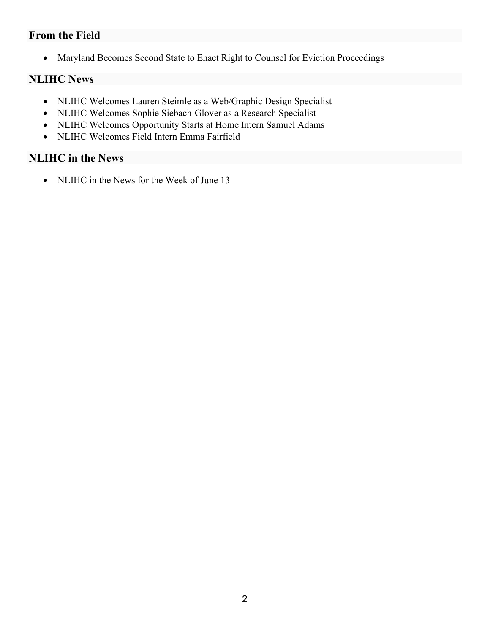## **From the Field**

• Maryland Becomes Second State to Enact Right to Counsel for Eviction Proceedings

# **NLIHC News**

- NLIHC Welcomes Lauren Steimle as a Web/Graphic Design Specialist
- NLIHC Welcomes Sophie Siebach-Glover as a Research Specialist
- NLIHC Welcomes Opportunity Starts at Home Intern Samuel Adams
- NLIHC Welcomes Field Intern Emma Fairfield

## **NLIHC in the News**

• NLIHC in the News for the Week of June 13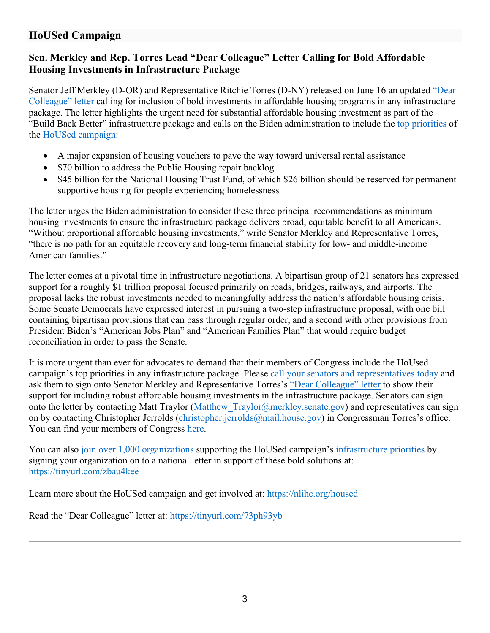# **HoUSed Campaign**

## **Sen. Merkley and Rep. Torres Lead "Dear Colleague" Letter Calling for Bold Affordable Housing Investments in Infrastructure Package**

Senator Jeff Merkley (D-OR) and Representative Ritchie Torres (D-NY) released on June 16 an updated ["Dear](https://nlihc.org/sites/default/files/Updated_Housing-Infrastructure-Priorities_Sign-On_FINAL.pdf?utm_source=NLIHC+All+Subscribers&utm_campaign=2d8b558e04-CTA_061621&utm_medium=email&utm_term=0_e090383b5e-2d8b558e04-292697541&ct=t(CTA_061621))  [Colleague" letter](https://nlihc.org/sites/default/files/Updated_Housing-Infrastructure-Priorities_Sign-On_FINAL.pdf?utm_source=NLIHC+All+Subscribers&utm_campaign=2d8b558e04-CTA_061621&utm_medium=email&utm_term=0_e090383b5e-2d8b558e04-292697541&ct=t(CTA_061621)) calling for inclusion of bold investments in affordable housing programs in any infrastructure package. The letter highlights the urgent need for substantial affordable housing investment as part of the "Build Back Better" infrastructure package and calls on the Biden administration to include the [top priorities](https://nlihc.org/sites/default/files/Campaign_1_pager.pdf) of the [HoUSed campaign:](https://nlihc.org/housed)

- A major expansion of housing vouchers to pave the way toward universal rental assistance
- \$70 billion to address the Public Housing repair backlog
- \$45 billion for the National Housing Trust Fund, of which \$26 billion should be reserved for permanent supportive housing for people experiencing homelessness

The letter urges the Biden administration to consider these three principal recommendations as minimum housing investments to ensure the infrastructure package delivers broad, equitable benefit to all Americans. "Without proportional affordable housing investments," write Senator Merkley and Representative Torres, "there is no path for an equitable recovery and long-term financial stability for low- and middle-income American families."

The letter comes at a pivotal time in infrastructure negotiations. A bipartisan group of 21 senators has expressed support for a roughly \$1 trillion proposal focused primarily on roads, bridges, railways, and airports. The proposal lacks the robust investments needed to meaningfully address the nation's affordable housing crisis. Some Senate Democrats have expressed interest in pursuing a two-step infrastructure proposal, with one bill containing bipartisan provisions that can pass through regular order, and a second with other provisions from President Biden's "American Jobs Plan" and "American Families Plan" that would require budget reconciliation in order to pass the Senate.

It is more urgent than ever for advocates to demand that their members of Congress include the HoUsed campaign's top priorities in any infrastructure package. Please [call your senators and representatives today](https://www.govtrack.us/) and ask them to sign onto Senator Merkley and Representative Torres's ["Dear Colleague" letter](https://nlihc.org/sites/default/files/Updated_Housing-Infrastructure-Priorities_Sign-On_FINAL.pdf?utm_source=NLIHC+All+Subscribers&utm_campaign=2d8b558e04-CTA_061621&utm_medium=email&utm_term=0_e090383b5e-2d8b558e04-292697541&ct=t(CTA_061621)) to show their support for including robust affordable housing investments in the infrastructure package. Senators can sign onto the letter by contacting Matt Traylor (Matthew Traylor@merkley.senate.gov) and representatives can sign on by contacting Christopher Jerrolds [\(christopher.jerrolds@mail.house.gov\)](mailto:christopher.jerrolds@mail.house.gov) in Congressman Torres's office. You can find your members of Congress [here.](https://www.govtrack.us/?utm_source=NLIHC+All+Subscribers&utm_campaign=2baa26d780-CTA_061021&utm_medium=email&utm_term=0_e090383b5e-2baa26d780-292697541&ct=t(CTA_061021)v)

You can also [join over 1,000 organizations](https://nlihc.secure.force.com/actions/CapturePetitionNew?actionId=AR00938) supporting the HoUSed campaign's [infrastructure priorities](https://nlihc.org/sites/default/files/Campaign_1_pager.pdf) by signing your organization on to a national letter in support of these bold solutions at: <https://tinyurl.com/zbau4kee>

Learn more about the HoUSed campaign and get involved at:<https://nlihc.org/housed>

Read the "Dear Colleague" letter at:<https://tinyurl.com/73ph93yb>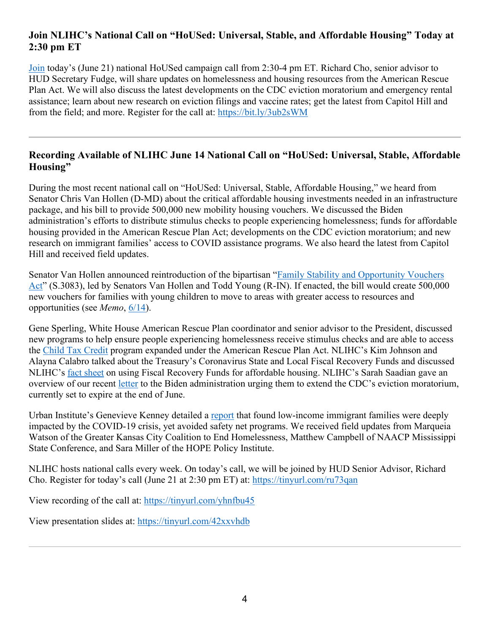## **Join NLIHC's National Call on "HoUSed: Universal, Stable, and Affordable Housing" Today at 2:30 pm ET**

[Join](https://us02web.zoom.us/webinar/register/WN_1XN2P7w2QnWvVc6Kp1q-nQ) today's (June 21) national HoUSed campaign call from 2:30-4 pm ET. Richard Cho, senior advisor to HUD Secretary Fudge, will share updates on homelessness and housing resources from the American Rescue Plan Act. We will also discuss the latest developments on the CDC eviction moratorium and emergency rental assistance; learn about new research on eviction filings and vaccine rates; get the latest from Capitol Hill and from the field; and more. Register for the call at:<https://bit.ly/3ub2sWM>

### **Recording Available of NLIHC June 14 National Call on "HoUSed: Universal, Stable, Affordable Housing"**

During the most recent national call on "HoUSed: Universal, Stable, Affordable Housing," we heard from Senator Chris Van Hollen (D-MD) about the critical affordable housing investments needed in an infrastructure package, and his bill to provide 500,000 new mobility housing vouchers. We discussed the Biden administration's efforts to distribute stimulus checks to people experiencing homelessness; funds for affordable housing provided in the American Rescue Plan Act; developments on the CDC eviction moratorium; and new research on immigrant families' access to COVID assistance programs. We also heard the latest from Capitol Hill and received field updates.

Senator Van Hollen announced reintroduction of the bipartisan ["Family Stability and Opportunity Vouchers](https://www.vanhollen.senate.gov/news/press-releases/van-hollen-young-reintroduce-legislation-to-boost-housing-mobility-vouchers-increase-americans-access-to-opportunity?utm_source=NLIHC+All+Subscribers&utm_campaign=1b659247ce-DHRC-Update-6-16-2021&utm_medium=email&utm_term=0_e090383b5e-1b659247ce-291742445&ct=t(DHRC-Update-6-16-2021))  [Act"](https://www.vanhollen.senate.gov/news/press-releases/van-hollen-young-reintroduce-legislation-to-boost-housing-mobility-vouchers-increase-americans-access-to-opportunity?utm_source=NLIHC+All+Subscribers&utm_campaign=1b659247ce-DHRC-Update-6-16-2021&utm_medium=email&utm_term=0_e090383b5e-1b659247ce-291742445&ct=t(DHRC-Update-6-16-2021)) (S.3083), led by Senators Van Hollen and Todd Young (R-IN). If enacted, the bill would create 500,000 new vouchers for families with young children to move to areas with greater access to resources and opportunities (see *Memo*, [6/14\)](https://nlihc.org/resource/bipartisan-family-stability-and-opportunity-vouchers-act-reintroduced-senate?utm_source=NLIHC+All+Subscribers&utm_campaign=6729201526-memo_061421&utm_medium=email&utm_term=0_e090383b5e-6729201526-293267161&ct=t(memo_061421)&utm_source=NLIHC+All+Subscribers&utm_campaign=1b659247ce-DHRC-Update-6-16-2021&utm_medium=email&utm_term=0_e090383b5e-1b659247ce-291742445&ct=t(DHRC-Update-6-16-2021)).

Gene Sperling, White House American Rescue Plan coordinator and senior advisor to the President, discussed new programs to help ensure people experiencing homelessness receive stimulus checks and are able to access the [Child Tax Credit](https://www.whitehouse.gov/child-tax-credit/?utm_source=NLIHC+All+Subscribers&utm_campaign=1b659247ce-DHRC-Update-6-16-2021&utm_medium=email&utm_term=0_e090383b5e-1b659247ce-291742445&ct=t(DHRC-Update-6-16-2021)) program expanded under the American Rescue Plan Act. NLIHC's Kim Johnson and Alayna Calabro talked about the Treasury's Coronavirus State and Local Fiscal Recovery Funds and discussed NLIHC's [fact sheet](https://nlihc.org/sites/default/files/ARPA_Coronavirus-State-and-Local-Fiscal-Recovery-Funds.pdf?utm_source=NLIHC+All+Subscribers&utm_campaign=1b659247ce-DHRC-Update-6-16-2021&utm_medium=email&utm_term=0_e090383b5e-1b659247ce-291742445&ct=t(DHRC-Update-6-16-2021)) on using Fiscal Recovery Funds for affordable housing. NLIHC's Sarah Saadian gave an overview of our recent [letter](https://nlihc.org/sites/default/files/NLIHC-and-DHRC-letter-to-Biden-Administration-re-Eviction-Moratorium-and-ERA.pdf?utm_source=NLIHC+All+Subscribers&utm_campaign=1b659247ce-DHRC-Update-6-16-2021&utm_medium=email&utm_term=0_e090383b5e-1b659247ce-291742445&ct=t(DHRC-Update-6-16-2021)) to the Biden administration urging them to extend the CDC's eviction moratorium, currently set to expire at the end of June.

Urban Institute's Genevieve Kenney detailed a [report](https://www.urban.org/research/publication/adults-low-income-immigrant-families-were-deeply-affected-covid-19-crisis-yet-avoided-safety-net-programs-2020?utm_source=NLIHC+All+Subscribers&utm_campaign=1b659247ce-DHRC-Update-6-16-2021&utm_medium=email&utm_term=0_e090383b5e-1b659247ce-291742445&ct=t(DHRC-Update-6-16-2021)) that found low-income immigrant families were deeply impacted by the COVID-19 crisis, yet avoided safety net programs. We received field updates from Marqueia Watson of the Greater Kansas City Coalition to End Homelessness, Matthew Campbell of NAACP Mississippi State Conference, and Sara Miller of the HOPE Policy Institute.

NLIHC hosts national calls every week. On today's call, we will be joined by HUD Senior Advisor, Richard Cho. Register for today's call (June 21 at 2:30 pm ET) at:<https://tinyurl.com/ru73qan>

View recording of the call at:<https://tinyurl.com/yhnfbu45>

View presentation slides at:<https://tinyurl.com/42xxvhdb>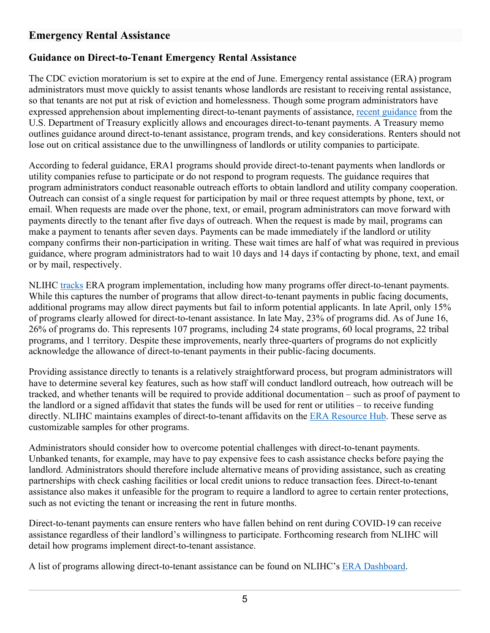## **Emergency Rental Assistance**

## **Guidance on Direct-to-Tenant Emergency Rental Assistance**

The CDC eviction moratorium is set to expire at the end of June. Emergency rental assistance (ERA) program administrators must move quickly to assist tenants whose landlords are resistant to receiving rental assistance, so that tenants are not put at risk of eviction and homelessness. Though some program administrators have expressed apprehension about implementing direct-to-tenant payments of assistance, [recent guidance](https://home.treasury.gov/system/files/136/ERA2FAQs%205-6-21.pdf) from the U.S. Department of Treasury explicitly allows and encourages direct-to-tenant payments. A Treasury memo outlines guidance around direct-to-tenant assistance, program trends, and key considerations. Renters should not lose out on critical assistance due to the unwillingness of landlords or utility companies to participate.

According to federal guidance, ERA1 programs should provide direct-to-tenant payments when landlords or utility companies refuse to participate or do not respond to program requests. The guidance requires that program administrators conduct reasonable outreach efforts to obtain landlord and utility company cooperation. Outreach can consist of a single request for participation by mail or three request attempts by phone, text, or email. When requests are made over the phone, text, or email, program administrators can move forward with payments directly to the tenant after five days of outreach. When the request is made by mail, programs can make a payment to tenants after seven days. Payments can be made immediately if the landlord or utility company confirms their non-participation in writing. These wait times are half of what was required in previous guidance, where program administrators had to wait 10 days and 14 days if contacting by phone, text, and email or by mail, respectively.

NLIHC [tracks](https://nlihc.org/era-dashboard) ERA program implementation, including how many programs offer direct-to-tenant payments. While this captures the number of programs that allow direct-to-tenant payments in public facing documents, additional programs may allow direct payments but fail to inform potential applicants. In late April, only 15% of programs clearly allowed for direct-to-tenant assistance. In late May, 23% of programs did. As of June 16, 26% of programs do. This represents 107 programs, including 24 state programs, 60 local programs, 22 tribal programs, and 1 territory. Despite these improvements, nearly three-quarters of programs do not explicitly acknowledge the allowance of direct-to-tenant payments in their public-facing documents.

Providing assistance directly to tenants is a relatively straightforward process, but program administrators will have to determine several key features, such as how staff will conduct landlord outreach, how outreach will be tracked, and whether tenants will be required to provide additional documentation – such as proof of payment to the landlord or a signed affidavit that states the funds will be used for rent or utilities – to receive funding directly. NLIHC maintains examples of direct-to-tenant affidavits on the [ERA Resource Hub.](https://nlihc.org/resource-hub) These serve as customizable samples for other programs.

Administrators should consider how to overcome potential challenges with direct-to-tenant payments. Unbanked tenants, for example, may have to pay expensive fees to cash assistance checks before paying the landlord. Administrators should therefore include alternative means of providing assistance, such as creating partnerships with check cashing facilities or local credit unions to reduce transaction fees. Direct-to-tenant assistance also makes it unfeasible for the program to require a landlord to agree to certain renter protections, such as not evicting the tenant or increasing the rent in future months.

Direct-to-tenant payments can ensure renters who have fallen behind on rent during COVID-19 can receive assistance regardless of their landlord's willingness to participate. Forthcoming research from NLIHC will detail how programs implement direct-to-tenant assistance.

A list of programs allowing direct-to-tenant assistance can be found on NLIHC's [ERA Dashboard.](https://nlihc.org/era-dashboard)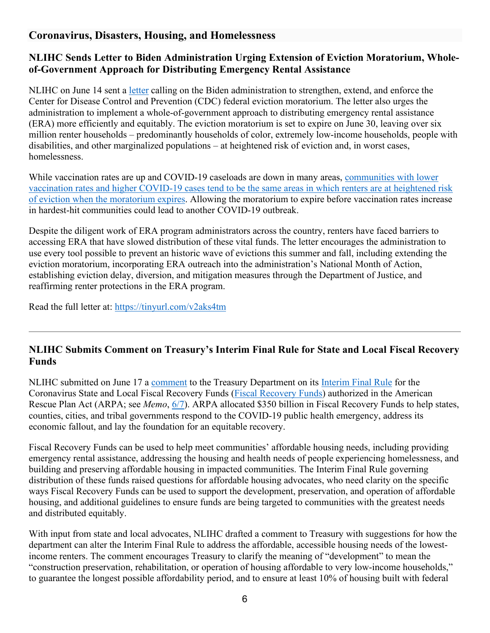## **Coronavirus, Disasters, Housing, and Homelessness**

## **NLIHC Sends Letter to Biden Administration Urging Extension of Eviction Moratorium, Wholeof-Government Approach for Distributing Emergency Rental Assistance**

NLIHC on June 14 sent a [letter](https://nlihc.org/sites/default/files/NLIHC-and-DHRC-letter-to-Biden-Administration-re-Eviction-Moratorium-and-ERA.pdf?utm_source=NLIHC+All+Subscribers&utm_campaign=b1770cf38d-nlihc_061521&utm_medium=email&utm_term=0_e090383b5e-b1770cf38d-292697541&ct=t(nlihc_061521)) calling on the Biden administration to strengthen, extend, and enforce the Center for Disease Control and Prevention (CDC) federal eviction moratorium. The letter also urges the administration to implement a whole-of-government approach to distributing emergency rental assistance (ERA) more efficiently and equitably. The eviction moratorium is set to expire on June 30, leaving over six million renter households – predominantly households of color, extremely low-income households, people with disabilities, and other marginalized populations – at heightened risk of eviction and, in worst cases, homelessness.

While vaccination rates are up and COVID-19 caseloads are down in many areas, communities with lower [vaccination rates and higher COVID-19 cases tend to be the same areas in which renters are at heightened risk](https://evictionlab.org/filing-and-vaccination-rates/?utm_source=NLIHC+All+Subscribers&utm_campaign=b1770cf38d-nlihc_061521&utm_medium=email&utm_term=0_e090383b5e-b1770cf38d-292697541&ct=t(nlihc_061521))  [of eviction when the moratorium expires.](https://evictionlab.org/filing-and-vaccination-rates/?utm_source=NLIHC+All+Subscribers&utm_campaign=b1770cf38d-nlihc_061521&utm_medium=email&utm_term=0_e090383b5e-b1770cf38d-292697541&ct=t(nlihc_061521)) Allowing the moratorium to expire before vaccination rates increase in hardest-hit communities could lead to another COVID-19 outbreak.

Despite the diligent work of ERA program administrators across the country, renters have faced barriers to accessing ERA that have slowed distribution of these vital funds. The letter encourages the administration to use every tool possible to prevent an historic wave of evictions this summer and fall, including extending the eviction moratorium, incorporating ERA outreach into the administration's National Month of Action, establishing eviction delay, diversion, and mitigation measures through the Department of Justice, and reaffirming renter protections in the ERA program.

Read the full letter at:<https://tinyurl.com/v2aks4tm>

### **NLIHC Submits Comment on Treasury's Interim Final Rule for State and Local Fiscal Recovery Funds**

NLIHC submitted on June 17 a [comment](https://nlihc.org/sites/default/files/Treasury_ARPA-State-Local-Funds_FINAL.pdf) to the Treasury Department on its [Interim Final Rule](https://www.federalregister.gov/documents/2021/05/17/2021-10283/coronavirus-state-and-local-fiscal-recovery-funds) for the Coronavirus State and Local Fiscal Recovery Funds [\(Fiscal Recovery Funds\)](https://nlihc.org/sites/default/files/ARPA_Coronavirus-State-and-Local-Fiscal-Recovery-Funds.pdf) authorized in the American Rescue Plan Act (ARPA; see *Memo*, [6/7\)](http://nlihc.org/resource/using-arpa-coronavirus-state-and-local-fiscal-recovery-funds-develop-affordable-housing). ARPA allocated \$350 billion in Fiscal Recovery Funds to help states, counties, cities, and tribal governments respond to the COVID-19 public health emergency, address its economic fallout, and lay the foundation for an equitable recovery.

Fiscal Recovery Funds can be used to help meet communities' affordable housing needs, including providing emergency rental assistance, addressing the housing and health needs of people experiencing homelessness, and building and preserving affordable housing in impacted communities. The Interim Final Rule governing distribution of these funds raised questions for affordable housing advocates, who need clarity on the specific ways Fiscal Recovery Funds can be used to support the development, preservation, and operation of affordable housing, and additional guidelines to ensure funds are being targeted to communities with the greatest needs and distributed equitably.

With input from state and local advocates, NLIHC drafted a comment to Treasury with suggestions for how the department can alter the Interim Final Rule to address the affordable, accessible housing needs of the lowestincome renters. The comment encourages Treasury to clarify the meaning of "development" to mean the "construction preservation, rehabilitation, or operation of housing affordable to very low-income households," to guarantee the longest possible affordability period, and to ensure at least 10% of housing built with federal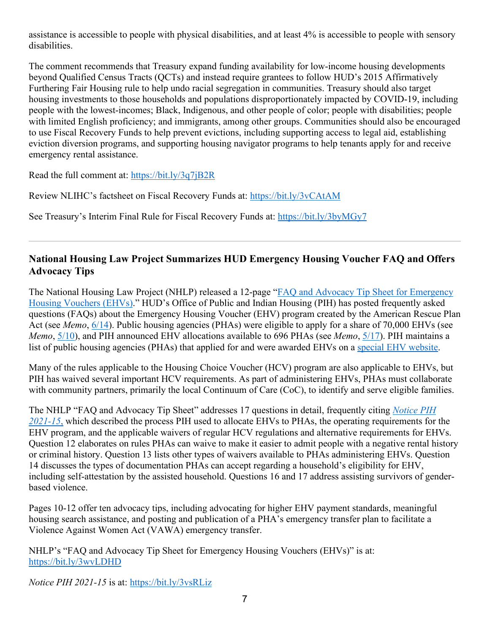assistance is accessible to people with physical disabilities, and at least 4% is accessible to people with sensory disabilities.

The comment recommends that Treasury expand funding availability for low-income housing developments beyond Qualified Census Tracts (QCTs) and instead require grantees to follow HUD's 2015 Affirmatively Furthering Fair Housing rule to help undo racial segregation in communities. Treasury should also target housing investments to those households and populations disproportionately impacted by COVID-19, including people with the lowest-incomes; Black, Indigenous, and other people of color; people with disabilities; people with limited English proficiency; and immigrants, among other groups. Communities should also be encouraged to use Fiscal Recovery Funds to help prevent evictions, including supporting access to legal aid, establishing eviction diversion programs, and supporting housing navigator programs to help tenants apply for and receive emergency rental assistance.

Read the full comment at:<https://bit.ly/3q7jB2R>

Review NLIHC's factsheet on Fiscal Recovery Funds at:<https://bit.ly/3vCAtAM>

See Treasury's Interim Final Rule for Fiscal Recovery Funds at:<https://bit.ly/3byMGy7>

### **National Housing Law Project Summarizes HUD Emergency Housing Voucher FAQ and Offers Advocacy Tips**

The National Housing Law Project (NHLP) released a 12-page ["FAQ and Advocacy Tip Sheet for Emergency](https://nam04.safelinks.protection.outlook.com/?url=https%3A%2F%2Fwww.nhlp.org%2Fwp-content%2Fuploads%2FEHV-FAQ.pdf&data=04%7C01%7C%7Cb38ed91cce3e4c5557db08d9300b85cd%7Cd9ab7747cd104372b0b3229c61592adf%7C0%7C0%7C637593648311829023%7CUnknown%7CTWFpbGZsb3d8eyJWIjoiMC4wLjAwMDAiLCJQIjoiV2luMzIiLCJBTiI6Ik1haWwiLCJXVCI6Mn0%3D%7C1000&sdata=Nx%2BBm1qusH7TO6Fj7tcAdeIfSniEQSgPPbkcs85%2FBCM%3D&reserved=0)  [Housing Vouchers \(EHVs\).](https://nam04.safelinks.protection.outlook.com/?url=https%3A%2F%2Fwww.nhlp.org%2Fwp-content%2Fuploads%2FEHV-FAQ.pdf&data=04%7C01%7C%7Cb38ed91cce3e4c5557db08d9300b85cd%7Cd9ab7747cd104372b0b3229c61592adf%7C0%7C0%7C637593648311829023%7CUnknown%7CTWFpbGZsb3d8eyJWIjoiMC4wLjAwMDAiLCJQIjoiV2luMzIiLCJBTiI6Ik1haWwiLCJXVCI6Mn0%3D%7C1000&sdata=Nx%2BBm1qusH7TO6Fj7tcAdeIfSniEQSgPPbkcs85%2FBCM%3D&reserved=0)" HUD's Office of Public and Indian Housing (PIH) has posted frequently asked questions (FAQs) about the Emergency Housing Voucher (EHV) program created by the American Rescue Plan Act (see *Memo*, [6/14\)](https://nlihc.org/resource/hud-pih-posts-emergency-housing-voucher-faqs). Public housing agencies (PHAs) were eligible to apply for a share of 70,000 EHVs (see *Memo*, [5/10\)](https://nlihc.org/resource/hud-pih-publishes-emergency-housing-vouchers-allocation-process-notice), and PIH announced EHV allocations available to 696 PHAs (see *Memo*, [5/17\)](https://nlihc.org/resource/hud-pih-announces-emergency-housing-voucher-allocation-amounts). PIH maintains a list of public housing agencies (PHAs) that applied for and were awarded EHVs on a [special EHV website.](https://www.hud.gov/ehv?utm_source=HUD+Exchange+Mailing+List&utm_campaign=1fc703d8c6-Operating-for-EHV-5.10.21&utm_medium=email&utm_term=0_f32b935a5f-1fc703d8c6-19351509)

Many of the rules applicable to the Housing Choice Voucher (HCV) program are also applicable to EHVs, but PIH has waived several important HCV requirements. As part of administering EHVs, PHAs must collaborate with community partners, primarily the local Continuum of Care (CoC), to identify and serve eligible families.

The NHLP "FAQ and Advocacy Tip Sheet" addresses 17 questions in detail, frequently citing *[Notice PIH](https://www.hud.gov/sites/dfiles/PIH/documents/PIH2021-15.pdf)  [2021-15](https://www.hud.gov/sites/dfiles/PIH/documents/PIH2021-15.pdf)*, which described the process PIH used to allocate EHVs to PHAs, the operating requirements for the EHV program, and the applicable waivers of regular HCV regulations and alternative requirements for EHVs. Question 12 elaborates on rules PHAs can waive to make it easier to admit people with a negative rental history or criminal history. Question 13 lists other types of waivers available to PHAs administering EHVs. Question 14 discusses the types of documentation PHAs can accept regarding a household's eligibility for EHV, including self-attestation by the assisted household. Questions 16 and 17 address assisting survivors of genderbased violence.

Pages 10-12 offer ten advocacy tips, including advocating for higher EHV payment standards, meaningful housing search assistance, and posting and publication of a PHA's emergency transfer plan to facilitate a Violence Against Women Act (VAWA) emergency transfer.

NHLP's "FAQ and Advocacy Tip Sheet for Emergency Housing Vouchers (EHVs)" is at: <https://bit.ly/3wvLDHD>

*Notice PIH 2021-15* is at: <https://bit.ly/3vsRLiz>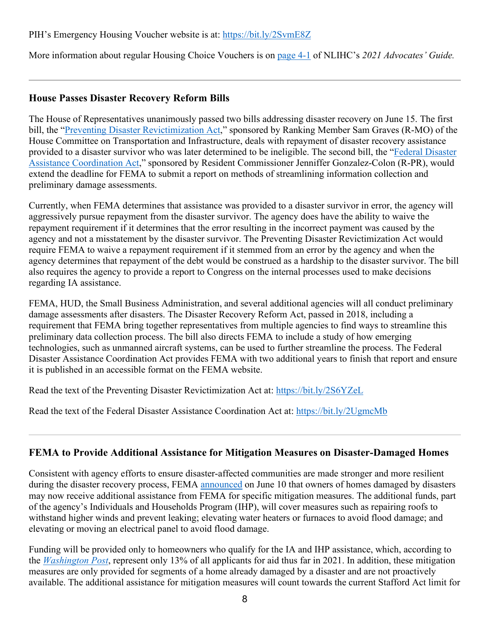#### PIH's Emergency Housing Voucher website is at:<https://bit.ly/2SvmE8Z>

More information about regular Housing Choice Vouchers is on [page 4-1](https://nlihc.org/sites/default/files/AG-2021/04-01_Housing-Choice-Vouchers.pdf) of NLIHC's *2021 Advocates' Guide.*

### **House Passes Disaster Recovery Reform Bills**

The House of Representatives unanimously passed two bills addressing disaster recovery on June 15. The first bill, the ["Preventing Disaster Revictimization Act,](https://www.congress.gov/bill/117th-congress/house-bill/539/text?r=6&s=1)" sponsored by Ranking Member Sam Graves (R-MO) of the House Committee on Transportation and Infrastructure, deals with repayment of disaster recovery assistance provided to a disaster survivor who was later determined to be ineligible. The second bill, the ["Federal Disaster](https://www.congress.gov/bill/117th-congress/house-bill/2016/actions)  [Assistance Coordination Act,](https://www.congress.gov/bill/117th-congress/house-bill/2016/actions)" sponsored by Resident Commissioner Jenniffer Gonzalez-Colon (R-PR), would extend the deadline for FEMA to submit a report on methods of streamlining information collection and preliminary damage assessments.

Currently, when FEMA determines that assistance was provided to a disaster survivor in error, the agency will aggressively pursue repayment from the disaster survivor. The agency does have the ability to waive the repayment requirement if it determines that the error resulting in the incorrect payment was caused by the agency and not a misstatement by the disaster survivor. The Preventing Disaster Revictimization Act would require FEMA to waive a repayment requirement if it stemmed from an error by the agency and when the agency determines that repayment of the debt would be construed as a hardship to the disaster survivor. The bill also requires the agency to provide a report to Congress on the internal processes used to make decisions regarding IA assistance.

FEMA, HUD, the Small Business Administration, and several additional agencies will all conduct preliminary damage assessments after disasters. The Disaster Recovery Reform Act, passed in 2018, including a requirement that FEMA bring together representatives from multiple agencies to find ways to streamline this preliminary data collection process. The bill also directs FEMA to include a study of how emerging technologies, such as unmanned aircraft systems, can be used to further streamline the process. The Federal Disaster Assistance Coordination Act provides FEMA with two additional years to finish that report and ensure it is published in an accessible format on the FEMA website.

Read the text of the Preventing Disaster Revictimization Act at:<https://bit.ly/2S6YZeL>

Read the text of the Federal Disaster Assistance Coordination Act at:<https://bit.ly/2UgmcMb>

### **FEMA to Provide Additional Assistance for Mitigation Measures on Disaster-Damaged Homes**

Consistent with agency efforts to ensure disaster-affected communities are made stronger and more resilient during the disaster recovery process, FEMA [announced](https://www.fema.gov/fact-sheet/hazard-mitigation-under-individuals-and-households-program) on June 10 that owners of homes damaged by disasters may now receive additional assistance from FEMA for specific mitigation measures. The additional funds, part of the agency's Individuals and Households Program (IHP), will cover measures such as repairing roofs to withstand higher winds and prevent leaking; elevating water heaters or furnaces to avoid flood damage; and elevating or moving an electrical panel to avoid flood damage.

Funding will be provided only to homeowners who qualify for the IA and IHP assistance, which, according to the *[Washington Post](https://www.washingtonpost.com/nation/2021/04/25/fema-disaster-assistance-denied/)*, represent only 13% of all applicants for aid thus far in 2021. In addition, these mitigation measures are only provided for segments of a home already damaged by a disaster and are not proactively available. The additional assistance for mitigation measures will count towards the current Stafford Act limit for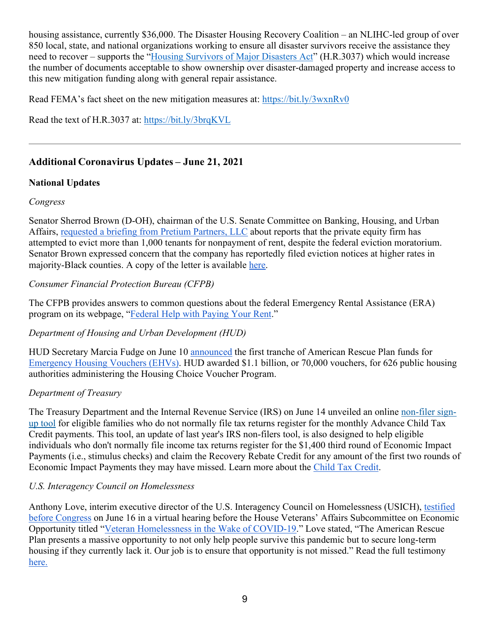housing assistance, currently \$36,000. The Disaster Housing Recovery Coalition – an NLIHC-led group of over 850 local, state, and national organizations working to ensure all disaster survivors receive the assistance they need to recover – supports the ["Housing Survivors of Major Disasters Act"](https://bit.ly/3brqKVL) (H.R.3037) which would increase the number of documents acceptable to show ownership over disaster-damaged property and increase access to this new mitigation funding along with general repair assistance.

Read FEMA's fact sheet on the new mitigation measures at:<https://bit.ly/3wxnRv0>

Read the text of H.R.3037 at:<https://bit.ly/3brqKVL>

### **Additional Coronavirus Updates – June 21, 2021**

#### **National Updates**

#### *Congress*

Senator Sherrod Brown (D-OH), chairman of the U.S. Senate Committee on Banking, Housing, and Urban Affairs, requested [a briefing from Pretium Partners, LLC](https://www.banking.senate.gov/newsroom/majority/brown-presses_private-equity-firm-on-evictions-filed-during-moratorium) about reports that the private equity firm has attempted to evict more than 1,000 tenants for nonpayment of rent, despite the federal eviction moratorium. Senator Brown expressed concern that the company has reportedly filed eviction notices at higher rates in majority-Black counties. A copy of the letter is available [here.](https://www.banking.senate.gov/imo/media/doc/brown_letter_-_610.2021pretium.pdf)

### *Consumer Financial Protection Bureau (CFPB)*

The CFPB provides answers to common questions about the federal Emergency Rental Assistance (ERA) program on its webpage, ["Federal Help with Paying Your Rent.](https://www.consumerfinance.gov/coronavirus/mortgage-and-housing-assistance/renter-protections/emergency-rental-assistance-for-renters/)"

#### *Department of Housing and Urban Development (HUD)*

HUD Secretary Marcia Fudge on June 10 [announced](https://www.hud.gov/press/press_releases_media_advisories/HUD_No_21_099) the first tranche of American Rescue Plan funds for [Emergency Housing Vouchers \(EHVs\).](https://www.hud.gov/ehv) HUD awarded \$1.1 billion, or 70,000 vouchers, for 626 public housing authorities administering the Housing Choice Voucher Program.

#### *Department of Treasury*

The Treasury Department and the Internal Revenue Service (IRS) on June 14 unveiled an online [non-filer sign](https://www.irs.gov/credits-deductions/child-tax-credit-non-filer-sign-up-tool)[up tool](https://www.irs.gov/credits-deductions/child-tax-credit-non-filer-sign-up-tool) for eligible families who do not normally file tax returns register for the monthly Advance Child Tax Credit payments. This tool, an update of last year's IRS non-filers tool, is also designed to help eligible individuals who don't normally file income tax returns register for the \$1,400 third round of Economic Impact Payments (i.e., stimulus checks) and claim the Recovery Rebate Credit for any amount of the first two rounds of Economic Impact Payments they may have missed. Learn more about the [Child Tax Credit.](https://www.whitehouse.gov/child-tax-credit/)

#### *U.S. Interagency Council on Homelessness*

Anthony Love, interim executive director of the U.S. Interagency Council on Homelessness (USICH), [testified](https://www.usich.gov/news/usich-executive-director-testifies-before-congress-it-is-possible-to-end-veteran-homelessness)  [before Congress](https://www.usich.gov/news/usich-executive-director-testifies-before-congress-it-is-possible-to-end-veteran-homelessness) on June 16 in a virtual hearing before the House Veterans' Affairs Subcommittee on Economic Opportunity titled ["Veteran Homelessness in the Wake of COVID-19.](https://nam04.safelinks.protection.outlook.com/?url=https%3A%2F%2Fr20.rs6.net%2Ftn.jsp%3Ff%3D001yBSiqt4fWOoBQ8zaqIrQ6XpBRG2AMjv2haTAUZRkTYIa8CsgfssS7bA8gSr3CffCLgUHYM9dV_ycn4u_VniTzpk3QpucXghybifE-DQuCY_gGL4XIUqqR-r9dXKMsfwEaPbJKmzkpLOstAd6lTmYS2wbjUqtY8LeFRX25cYKC_Ks9j9lYDJ81oTCOi6Ec8MmU38tRmVYEyBUMX9wh1u8lOmwBxqvlxMamaN2U2QtTkU%3D%26c%3DXa_1h_bzZWNHHJ9hGlL2vhYs20i0D6xFrF3yTeh_EDGYy0TNWe4m0A%3D%3D%26ch%3DHeMfkdAV2i8dbeLfweWMBgQDLWcQkW0flx1EsjMQjiIaVYQgI584sw%3D%3D&data=04%7C01%7C%7C451658345337464318d308d930e4c96b%7Cd9ab7747cd104372b0b3229c61592adf%7C0%7C0%7C637594581454833280%7CUnknown%7CTWFpbGZsb3d8eyJWIjoiMC4wLjAwMDAiLCJQIjoiV2luMzIiLCJBTiI6Ik1haWwiLCJXVCI6Mn0%3D%7C1000&sdata=wy%2FJtDEq4EDrxjDdeLok6uKPaPDMVECjxjO3kvxyjsE%3D&reserved=0)" Love stated, "The American Rescue Plan presents a massive opportunity to not only help people survive this pandemic but to secure long-term housing if they currently lack it. Our job is to ensure that opportunity is not missed." Read the full testimony [here.](https://www.usich.gov/news/usich-executive-director-testifies-before-congress-it-is-possible-to-end-veteran-homelessness)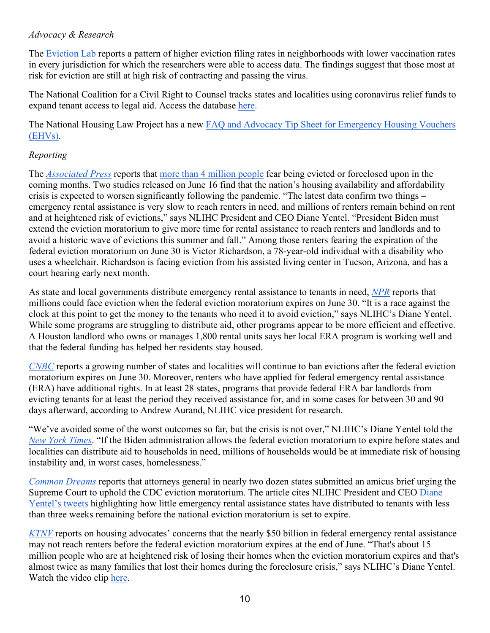#### *Advocacy & Research*

The [Eviction Lab](https://evictionlab.org/filing-and-vaccination-rates/) reports a pattern of higher eviction filing rates in neighborhoods with lower vaccination rates in every jurisdiction for which the researchers were able to access data. The findings suggest that those most at risk for eviction are still at high risk of contracting and passing the virus.

The National Coalition for a Civil Right to Counsel tracks states and localities using coronavirus relief funds to expand tenant access to legal aid. Access the database [here.](http://civilrighttocounsel.org/major_developments/1463)

The National Housing Law Project has a new [FAQ and Advocacy Tip Sheet for Emergency Housing Vouchers](https://www.nhlp.org/wp-content/uploads/EHV-FAQ.pdf)  [\(EHVs\).](https://www.nhlp.org/wp-content/uploads/EHV-FAQ.pdf)

#### *Reporting*

The *[Associated Press](https://apnews.com/article/race-and-ethnicity-health-coronavirus-pandemic-lifestyle-business-cdce22f5ae976032e9e6fa89831c0a93)* reports that [more than 4 million people](https://www.census.gov/data-tools/demo/hhp/#/?measures=EVICTFOR&periodSelector=31) fear being evicted or foreclosed upon in the coming months. Two studies released on June 16 find that the nation's housing availability and affordability crisis is expected to worsen significantly following the pandemic. "The latest data confirm two things – emergency rental assistance is very slow to reach renters in need, and millions of renters remain behind on rent and at heightened risk of evictions," says NLIHC President and CEO Diane Yentel. "President Biden must extend the eviction moratorium to give more time for rental assistance to reach renters and landlords and to avoid a historic wave of evictions this summer and fall." Among those renters fearing the expiration of the federal eviction moratorium on June 30 is Victor Richardson, a 78-year-old individual with a disability who uses a wheelchair. Richardson is facing eviction from his assisted living center in Tucson, Arizona, and has a court hearing early next month.

As state and local governments distribute emergency rental assistance to tenants in need, *[NPR](https://www.npr.org/2021/06/10/1004046446/millions-could-face-eviction-with-federal-moratorium-ending-and-log-jam-in-aid)* reports that millions could face eviction when the federal eviction moratorium expires on June 30. "It is a race against the clock at this point to get the money to the tenants who need it to avoid eviction," says NLIHC's Diane Yentel. While some programs are struggling to distribute aid, other programs appear to be more efficient and effective. A Houston landlord who owns or manages 1,800 rental units says her local ERA program is working well and that the federal funding has helped her residents stay housed.

*[CNBC](https://www.cnbc.com/2021/06/16/renters-will-be-protected-from-eviction-beyond-june-in-these-locations.html)* reports a growing number of states and localities will continue to ban evictions after the federal eviction moratorium expires on June 30. Moreover, renters who have applied for federal emergency rental assistance (ERA) have additional rights. In at least 28 states, programs that provide federal ERA bar landlords from evicting tenants for at least the period they received assistance for, and in some cases for between 30 and 90 days afterward, according to Andrew Aurand, NLIHC vice president for research.

"We've avoided some of the worst outcomes so far, but the crisis is not over," NLIHC's Diane Yentel told the *[New York Times](https://www.nytimes.com/2021/06/16/business/affordable-housing-crisis.html)*. "If the Biden administration allows the federal eviction moratorium to expire before states and localities can distribute aid to households in need, millions of households would be at immediate risk of housing instability and, in worst cases, homelessness."

*[Common Dreams](https://www.commondreams.org/news/2021/06/14/race-against-clock-battle-extend-cdc-eviction-ban-heats-crisis-looms)* reports that attorneys general in nearly two dozen states submitted an amicus brief urging the Supreme Court to uphold the CDC eviction moratorium. The article cites NLIHC President and CEO [Diane](https://twitter.com/dianeyentel/status/1403520666083729414)  [Yentel's tweets](https://twitter.com/dianeyentel/status/1403520666083729414) highlighting how little emergency rental assistance states have distributed to tenants with less than three weeks remaining before the national eviction moratorium is set to expire.

*[KTNV](https://www.ktnv.com/news/officials-continue-eviction-moratorium-discussion-ahead-of-expiration-date)* reports on housing advocates' concerns that the nearly \$50 billion in federal emergency rental assistance may not reach renters before the federal eviction moratorium expires at the end of June. "That's about 15 million people who are at heightened risk of losing their homes when the eviction moratorium expires and that's almost twice as many families that lost their homes during the foreclosure crisis," says NLIHC's Diane Yentel. Watch the video clip [here.](https://twitter.com/NLIHC/status/1403467094444941315)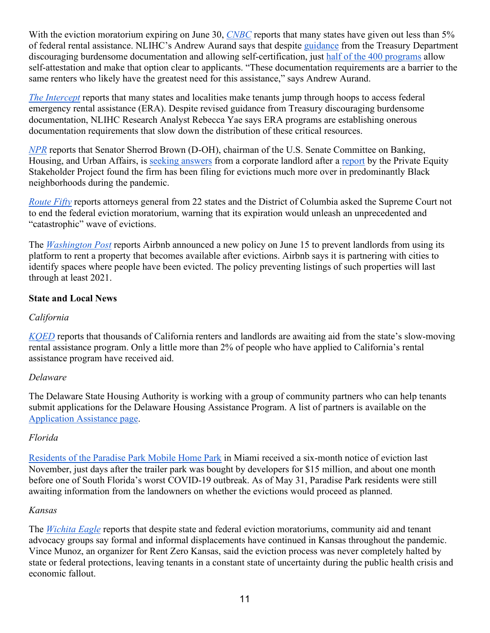With the eviction moratorium expiring on June 30, *[CNBC](https://www.cnbc.com/2021/06/15/many-states-have-given-out-under-5percent-of-rental-assistance-.html)* reports that many states have given out less than 5% of federal rental assistance. NLIHC's Andrew Aurand says that despite [guidance](https://home.treasury.gov/system/files/136/ERA2FAQs%205-6-21.pdf) from the Treasury Department discouraging burdensome documentation and allowing self-certification, just [half of the 400 programs](https://nlihc.org/era-dashboard) allow self-attestation and make that option clear to applicants. "These documentation requirements are a barrier to the same renters who likely have the greatest need for this assistance," says Andrew Aurand.

*[The Intercept](https://theintercept.com/2021/06/10/covid-rental-assistance-tenants/?utm_campaign=theintercept&utm_medium=social&utm_source=twitter)* reports that many states and localities make tenants jump through hoops to access federal emergency rental assistance (ERA). Despite revised guidance from Treasury discouraging burdensome documentation, NLIHC Research Analyst Rebecca Yae says ERA programs are establishing onerous documentation requirements that slow down the distribution of these critical resources.

*[NPR](https://www.npr.org/2021/06/10/1005233221/senator-presses-landlord-over-report-it-evicts-black-renters-at-higher-rates)* reports that Senator Sherrod Brown (D-OH), chairman of the U.S. Senate Committee on Banking, Housing, and Urban Affairs, is [seeking answers](https://www.banking.senate.gov/imo/media/doc/brown_letter_-_610.2021pretium.pdf) from a corporate landlord after a [report](https://pestakeholder.org/wp-content/uploads/2021/04/Pandemic-Evictor-Pretium-Partners-PESP-041421.pdf) by the Private Equity Stakeholder Project found the firm has been filing for evictions much more over in predominantly Black neighborhoods during the pandemic.

*[Route Fifty](https://nam04.safelinks.protection.outlook.com/?url=https%3A%2F%2Fwww.route-fifty.com%2Fhealth-human-services%2F2021%2F06%2F22-states-biden-administration-ask-supreme-court-keep-eviction-ban-place%2F174676%2F&data=04%7C01%7C%7C7bfa45ae69f946e601be08d92d64c576%7Cd9ab7747cd104372b0b3229c61592adf%7C0%7C0%7C637590733119575422%7CUnknown%7CTWFpbGZsb3d8eyJWIjoiMC4wLjAwMDAiLCJQIjoiV2luMzIiLCJBTiI6Ik1haWwiLCJXVCI6Mn0%3D%7C1000&sdata=f3hn6Sf1difg%2Fl20F2ALBRq%2FgpGzPCPLtmLI9KNBZeQ%3D&reserved=0)* reports attorneys general from 22 states and the District of Columbia asked the Supreme Court not to end the federal eviction moratorium, warning that its expiration would unleash an unprecedented and "catastrophic" wave of evictions.

The *[Washington Post](https://www.washingtonpost.com/technology/2021/06/15/airbnb-evictions-ban-coronavirus/)* reports Airbnb announced a new policy on June 15 to prevent landlords from using its platform to rent a property that becomes available after evictions. Airbnb says it i[s](https://nam04.safelinks.protection.outlook.com/?url=https%3A%2F%2Fs2.washingtonpost.com%2F33ab340%2F60c90ef89d2fdae3027fcb6b%2F5e77e556ade4e21f590ee6c9%2F15%2F59%2F60c90ef89d2fdae3027fcb6b&data=04%7C01%7C%7C8247e164576e42341a3208d930bc4eb5%7Cd9ab7747cd104372b0b3229c61592adf%7C0%7C0%7C637594407613809800%7CUnknown%7CTWFpbGZsb3d8eyJWIjoiMC4wLjAwMDAiLCJQIjoiV2luMzIiLCJBTiI6Ik1haWwiLCJXVCI6Mn0%3D%7C1000&sdata=jMIZHDrI9%2Bm1RkVu4eYrZY58WXjbtbVl%2FKUqn7z5SZ8%3D&reserved=0) [partnering with cities to](https://nam04.safelinks.protection.outlook.com/?url=https%3A%2F%2Fs2.washingtonpost.com%2F33ab340%2F60c90ef89d2fdae3027fcb6b%2F5e77e556ade4e21f590ee6c9%2F15%2F59%2F60c90ef89d2fdae3027fcb6b&data=04%7C01%7C%7C8247e164576e42341a3208d930bc4eb5%7Cd9ab7747cd104372b0b3229c61592adf%7C0%7C0%7C637594407613809800%7CUnknown%7CTWFpbGZsb3d8eyJWIjoiMC4wLjAwMDAiLCJQIjoiV2luMzIiLCJBTiI6Ik1haWwiLCJXVCI6Mn0%3D%7C1000&sdata=jMIZHDrI9%2Bm1RkVu4eYrZY58WXjbtbVl%2FKUqn7z5SZ8%3D&reserved=0)  [identify spaces where people have been evicted.](https://nam04.safelinks.protection.outlook.com/?url=https%3A%2F%2Fs2.washingtonpost.com%2F33ab340%2F60c90ef89d2fdae3027fcb6b%2F5e77e556ade4e21f590ee6c9%2F15%2F59%2F60c90ef89d2fdae3027fcb6b&data=04%7C01%7C%7C8247e164576e42341a3208d930bc4eb5%7Cd9ab7747cd104372b0b3229c61592adf%7C0%7C0%7C637594407613809800%7CUnknown%7CTWFpbGZsb3d8eyJWIjoiMC4wLjAwMDAiLCJQIjoiV2luMzIiLCJBTiI6Ik1haWwiLCJXVCI6Mn0%3D%7C1000&sdata=jMIZHDrI9%2Bm1RkVu4eYrZY58WXjbtbVl%2FKUqn7z5SZ8%3D&reserved=0) The policy preventing listings of such properties will last through at least 2021.

#### **State and Local News**

#### *California*

*[KQED](https://www.kqed.org/news/11877600/thousands-of-renters-and-landlords-await-state-aid-as-eviction-moratorium-set-to-expire)* reports that thousands of California renters and landlords are awaiting aid from the state's slow-moving rental assistance program. Only a little more than 2% of people who have applied to California's rental assistance program have received aid.

#### *Delaware*

The Delaware State Housing Authority is working with a group of community partners who can help tenants submit applications for the Delaware Housing Assistance Program. A list of partners is available on the [Application Assistance page.](https://decovidhousinghelp.com/application-assistance)

#### *Florida*

[Residents of the Paradise Park Mobile Home Park](https://www.nbcmiami.com/news/local/eviction-looms-for-mobile-home-residents-in-miami/2471689/) in Miami received a six-month notice of eviction last November, just days after the trailer park was bought by developers for \$15 million, and about one month before one of South Florida's worst COVID-19 outbreak. As of May 31, Paradise Park residents were still awaiting information from the landowners on whether the evictions would proceed as planned.

#### *Kansas*

The *[Wichita Eagle](https://www.kansas.com/news/politics-government/article251880298.html)* reports that despite state and federal eviction moratoriums, community aid and tenant advocacy groups say formal and informal displacements have continued in Kansas throughout the pandemic. Vince Munoz, an organizer for Rent Zero Kansas, said the eviction process was never completely halted by state or federal protections, leaving tenants in a constant state of uncertainty during the public health crisis and economic fallout.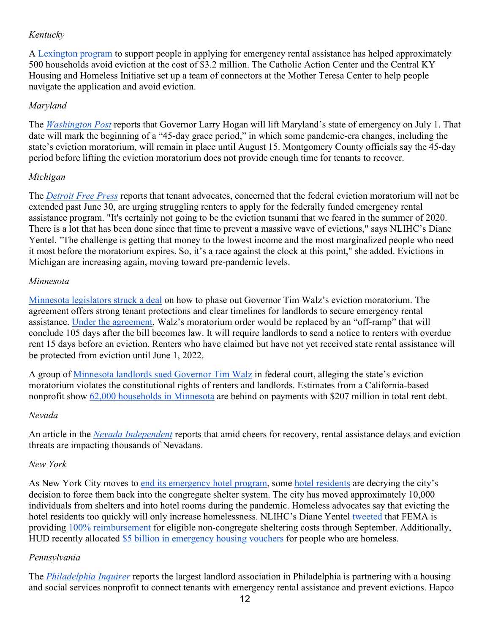### *Kentucky*

A [Lexington program](https://www.lex18.com/news/lexington-program-helps-people-apply-for-rental-assistance-following-end-of-eviction-moratorium) to support people in applying for emergency rental assistance has helped approximately 500 households avoid eviction at the cost of \$3.2 million. The Catholic Action Center and the Central KY Housing and Homeless Initiative set up a team of connectors at the Mother Teresa Center to help people navigate the application and avoid eviction.

### *Maryland*

The *[Washington Post](https://www.washingtonpost.com/local/maryland-covid-state-emergency-lift/2021/06/15/2e3a0d3e-cd69-11eb-a7f1-52b8870bef7c_story.html)* reports that Governor Larry Hogan will lift Maryland's state of emergency on July 1. That date will mark the beginning of a "45-day grace period," in which some pandemic-era changes, including the state's eviction moratorium, will remain in place until August 15. Montgomery County officials say the 45-day period before lifting the eviction moratorium does not provide enough time for tenants to recover.

### *Michigan*

The *[Detroit Free Press](https://www.freep.com/story/news/local/michigan/2021/06/07/eviction-moratorium-michigan-help/7428828002/)* reports that tenant advocates, concerned that the federal eviction moratorium will not be extended past June 30, are urging struggling renters to apply for the federally funded emergency rental assistance program. "It's certainly not going to be the eviction tsunami that we feared in the summer of 2020. There is a lot that has been done since that time to prevent a massive wave of evictions," says NLIHC's Diane Yentel. "The challenge is getting that money to the lowest income and the most marginalized people who need it most before the moratorium expires. So, it's a race against the clock at this point," she added. Evictions in Michigan are increasing again, moving toward pre-pandemic levels.

### *Minnesota*

[Minnesota legislators struck a deal](https://www.twincities.com/2021/06/14/walz-covid-mn-lawmakers-agree-on-how-to-end-eviction-moratorium/) on how to phase out Governor Tim Walz's eviction moratorium. The agreement offers strong tenant protections and clear timelines for landlords to secure emergency rental assistance. [Under the agreement,](https://www.house.leg.state.mn.us/members/profile/news/10248/32107) Walz's moratorium order would be replaced by an "off-ramp" that will conclude 105 days after the bill becomes law. It will require landlords to send a notice to renters with overdue rent 15 days before an eviction. Renters who have claimed but have not yet received state rental assistance will be protected from eviction until June 1, 2022.

A group of [Minnesota landlords sued Governor Tim Walz](https://minnesota.cbslocal.com/2021/06/16/landlord-group-sues-walz-ellison-over-eviction-moratorium/) in federal court, alleging the state's eviction moratorium violates the constitutional rights of renters and landlords. Estimates from a California-based nonprofit show [62,000 households in Minnesota](https://www.policylink.org/node/63161) are behind on payments with \$207 million in total rent debt.

### *Nevada*

An article in the *[Nevada Independent](https://thenevadaindependent.com/article/amid-cheers-for-recovery-rental-assistance-delays-and-eviction-threats-still-leave-thousands-in-no-mood-to-celebrate)* reports that amid cheers for recovery, rental assistance delays and eviction threats are impacting thousands of Nevadans.

#### *New York*

As New York City moves to [end its emergency hotel program,](https://www.wnyc.org/story/city-prepares-start-moving-homeless-new-yorkers-back-shelters/) some [hotel residents](https://gothamist.com/news/homeless-hotel-residents-decry-planned-return-shelters) are decrying the city's decision to force them back into the congregate shelter system. The city has moved approximately 10,000 individuals from shelters and into hotel rooms during the pandemic. Homeless advocates say that evicting the hotel residents too quickly will only increase homelessness. NLIHC's Diane Yentel [tweeted](https://twitter.com/dianeyentel/status/1398280942960222215) that FEMA is providing [100% reimbursement](https://www.fema.gov/press-release/20210203/fema-statement-100-cost-share) for eligible non-congregate sheltering costs through September. Additionally, HUD recently allocated \$5 [billion in emergency housing vouchers](https://www.hud.gov/ehv) for people who are homeless.

### *Pennsylvania*

The *[Philadelphia Inquirer](https://www.inquirer.com/real-estate/housing/rental-assistance-eviction-landlord-philadelphia-agreement-hapco-20210527.html)* reports the largest landlord association in Philadelphia is partnering with a housing and social services nonprofit to connect tenants with emergency rental assistance and prevent evictions. Hapco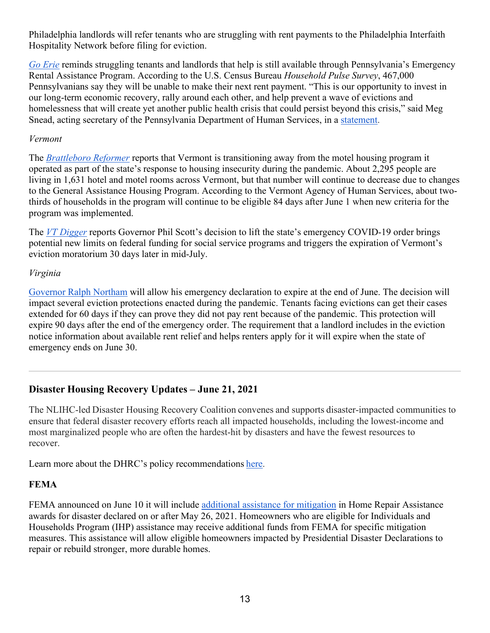Philadelphia landlords will refer tenants who are struggling with rent payments to the Philadelphia Interfaith Hospitality Network before filing for eviction.

*Go [Erie](https://www.goerie.com/story/news/2021/06/08/pa-eviction-moratorium-update-help-rent-utilities-pennsylvania/7588503002/)* reminds struggling tenants and landlords that help is still available through Pennsylvania's Emergency Rental Assistance Program. According to the U.S. Census Bureau *Household Pulse Survey*, 467,000 Pennsylvanians say they will be unable to make their next rent payment. "This is our opportunity to invest in our long-term economic recovery, rally around each other, and help prevent a wave of evictions and homelessness that will create yet another public health crisis that could persist beyond this crisis," said Meg Snead, acting secretary of the Pennsylvania Department of Human Services, in a [statement.](https://www.media.pa.gov/pages/dhs_details.aspx?newsid=709#:%7E:text=%E2%80%9CThis%20is%20our%20opportunity%20to,if%20we%20leave%20others%20behind.)

#### *Vermont*

The *[Brattleboro Reformer](https://www.reformer.com/coronavirus/vermont-transitions-away-from-motel-housing-program/article_ba81c044-cdef-11eb-b743-034fb58bc478.html)* reports that Vermont is transitioning away from the motel housing program it operated as part of the state's response to housing insecurity during the pandemic. About 2,295 people are living in 1,631 hotel and motel rooms across Vermont, but that number will continue to decrease due to changes to the General Assistance Housing Program. According to the Vermont Agency of Human Services, about twothirds of households in the program will continue to be eligible 84 days after June 1 when new criteria for the program was implemented.

The *[VT Digger](https://vtdigger.org/2021/06/14/flip-of-the-switch-how-the-end-of-vermonts-emergency-order-could-affect-evictions-social-services/)* reports Governor Phil Scott's decision to lift the state's emergency COVID-19 order brings potential new limits on federal funding for social service programs and triggers the expiration of Vermont's eviction moratorium 30 days later in mid-July.

#### *Virginia*

[Governor Ralph Northam](https://richmond.com/news/state-and-regional/govt-and-politics/virginias-covid-19-state-of-emergency-to-end-june-30-affecting-eviction-protections-mask-rules/article_4b657b99-7083-5a5f-8107-b3e0c72df519.html) will allow his emergency declaration to expire at the end of June. The decision will impact several eviction protections enacted during the pandemic. Tenants facing evictions can get their cases extended for 60 days if they can prove they did not pay rent because of the pandemic. This protection will expire 90 days after the end of the emergency order. The requirement that a landlord includes in the eviction notice information about available rent relief and helps renters apply for it will expire when the state of emergency ends on June 30.

### **Disaster Housing Recovery Updates – June 21, 2021**

The NLIHC-led Disaster Housing Recovery Coalition convenes and supports disaster-impacted communities to ensure that federal disaster recovery efforts reach all impacted households, including the lowest-income and most marginalized people who are often the hardest-hit by disasters and have the fewest resources to recover.        

Learn more about the DHRC's policy recommendations [here](https://nlihc.org/explore-issues/projects-campaigns/disaster-housing-recovery/policy).   

#### **FEMA**

FEMA announced on June 10 it will include [additional assistance for mitigation](https://www.fema.gov/fact-sheet/hazard-mitigation-under-individuals-and-households-program) in Home Repair Assistance awards for disaster declared on or after May 26, 2021. Homeowners who are eligible for Individuals and Households Program (IHP) assistance may receive additional funds from FEMA for specific mitigation measures. This assistance will allow eligible homeowners impacted by Presidential Disaster Declarations to repair or rebuild stronger, more durable homes.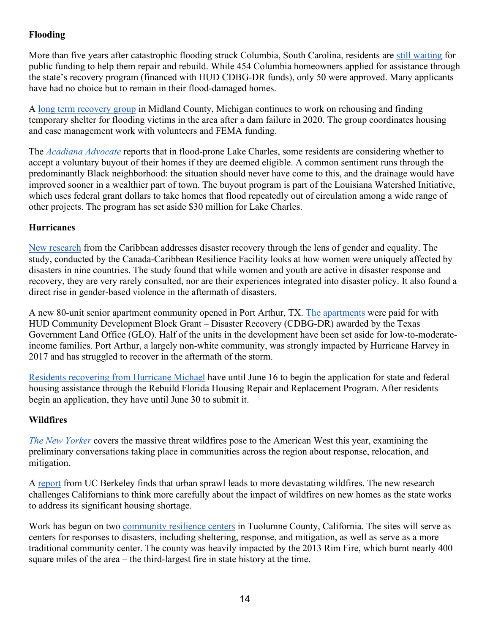## **Flooding**

More than five years after catastrophic flooding struck Columbia, South Carolina, residents ar[e](https://www.thestate.com/news/local/article251989898.html) [still waiting](https://www.thestate.com/news/local/article251989898.html) for public funding to help them repair and rebuild. While 454 Columbia homeowners applied for assistance through the state's recovery program (financed with HUD CDBG-DR funds), only 50 were approved. Many applicants have had no choice but to remain in their flood-damaged homes.

[A](https://www.ourmidland.com/news/article/Long-Term-Recovery-Group-Much-progress-made-16241125.php) [long term recovery group](https://www.ourmidland.com/news/article/Long-Term-Recovery-Group-Much-progress-made-16241125.php) in Midland County, Michigan continues to work on rehousing and finding temporary shelter for flooding victims in the area after a dam failure in 2020. The group coordinates housing and case management work with volunteers and FEMA funding.

The *[Acadiana Advocate](https://www.theadvocate.com/lake_charles/article_b42b0514-cb0d-11eb-9f63-1b7ac3e2470b.html)* reports that in flood-prone Lake Charles, some residents are considering whether to accept a voluntary buyout of their homes if they are deemed eligible. A common sentiment runs through the predominantly Black neighborhood: the situation should never have come to this, and the drainage would have improved sooner in a wealthier part of town. The buyout program is part of the Louisiana Watershed Initiative, which uses federal grant dollars to take homes that flood repeatedly out of circulation among a wide range of other projects. The program has set aside \$30 million for Lake Charles.

#### **Hurricanes**

[New research](https://www.preventionweb.net/news/view/78420) from the Caribbean addresses disaster recovery through the lens of gender and equality. The study, conducted by the Canada-Caribbean Resilience Facility looks at how women were uniquely affected by disasters in nine countries. The study found that while women and youth are active in disaster response and recovery, they are very rarely consulted, nor are their experiences integrated into disaster policy. It also found a direct rise in gender-based violence in the aftermath of disasters.

A new 80-unit senior apartment community opened in Port Arthur, TX. [The apartments](https://www.therecordlive.com/story/2021/06/16/news/glo-funds-open-orange-senior-apartments/30341.html) were paid for with HUD Community Development Block Grant – Disaster Recovery (CDBG-DR) awarded by the Texas Government Land Office (GLO). Half of the units in the development have been set aside for low-to-moderateincome families. Port Arthur, a largely non-white community, was strongly impacted by Hurricane Harvey in 2017 and has struggled to recover in the aftermath of the storm.

[Residents recovering from Hurricane Michael](https://news.wfsu.org/wfsu-local-news/2021-06-14/rebuild-floridas-hurricane-michael-application-deadline-approaching) have until June 16 to begin the application for state and federal housing assistance through the Rebuild Florida Housing Repair and Replacement Program. After residents begin an application, they have until June 30 to submit it.

### **Wildfires**

*[The New Yorker](https://nymag.com/intelligencer/2021/06/why-2021-could-be-californias-worst-fire-season-ever.html)* covers the massive threat wildfires pose to the American West this year, examining the preliminary conversations taking place in communities across the region about response, relocation, and mitigation.

[A](https://www.next10.org/publications/rebuilding-resilient) [report](https://www.next10.org/publications/rebuilding-resilient) from UC Berkeley finds that urban sprawl leads to more devastating wildfires. The new research challenges Californians to think more carefully about the impact of wildfires on new homes as the state works to address its significant housing shortage.

W[o](https://www.uniondemocrat.com/news/article_ae0ec746-ca3c-11eb-ac88-0f6ca6a4baeb.html)rk has begun on two [community resilience centers](https://www.uniondemocrat.com/news/article_ae0ec746-ca3c-11eb-ac88-0f6ca6a4baeb.html) in Tuolumne County, California. The sites will serve as centers for responses to disasters, including sheltering, response, and mitigation, as well as serve as a more traditional community center. The county was heavily impacted by the 2013 Rim Fire, which burnt nearly 400 square miles of the area – the third-largest fire in state history at the time.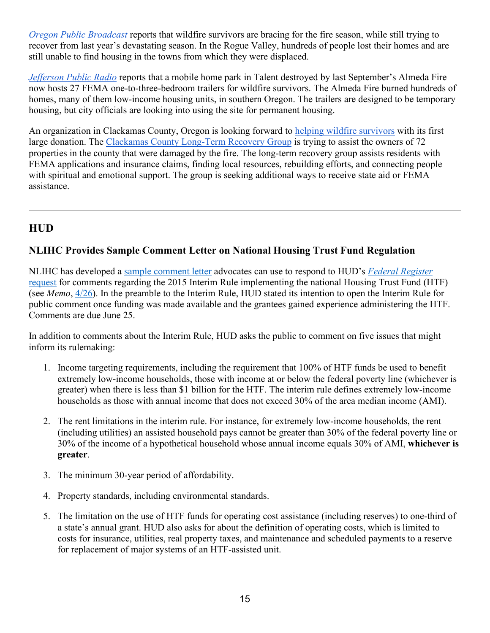*[Oregon Public Broadcast](https://www.opb.org/article/2021/05/30/wildfire-survivors-bracing-for-fire-season-while-trying-to-recover-from-last-one/)* reports that wildfire survivors are bracing for the fire season, while still trying to recover from last year's devastating season. In the Rogue Valley, hundreds of people lost their homes and are still unable to find housing in the towns from which they were displaced.

*[Jefferson Public Radio](https://www.ijpr.org/wildfire/2021-06-13/trailer-park-destroyed-by-wildfire-is-reborn-as-housing-for-fire-victims)* reports that a mobile home park in Talent destroyed by last September's Almeda Fire now hosts 27 FEMA one-to-three-bedroom trailers for wildfire survivors. The Almeda Fire burned hundreds of homes, many of them low-income housing units, in southern Oregon. The trailers are designed to be temporary housing, but city officials are looking into using the site for permanent housing.

An organization in Clackamas County, Oregon is looking forward to [helping wildfire survivors](https://www.koin.com/news/wildfires/10k-grant-helps-clackamas-county-wildfire-recovery-efforts/) with its first large donation. The [Clackamas County Long-Term Recovery Group](https://clackcares.org/about-us) is trying to assist the owners of 72 properties in the county that were damaged by the fire. The long-term recovery group assists residents with FEMA applications and insurance claims, finding local resources, rebuilding efforts, and connecting people with spiritual and emotional support. The group is seeking additional ways to receive state aid or FEMA assistance.

# **HUD**

### **NLIHC Provides Sample Comment Letter on National Housing Trust Fund Regulation**

NLIHC has developed a [sample comment letter](https://nlihc.org/sites/default/files/NLIHC_Sample_Comment_Letter_re_Interim_HTF_Rule.pdf) advocates can use to respond to HUD's *[Federal Register](https://www.govinfo.gov/content/pkg/FR-2021-04-26/pdf/2021-08529.pdf)* [request](https://www.govinfo.gov/content/pkg/FR-2021-04-26/pdf/2021-08529.pdf) for comments regarding the 2015 Interim Rule implementing the national Housing Trust Fund (HTF) (see *Memo*, [4/26\)](https://nlihc.org/resource/hud-cpd-requests-public-comment-2015-interim-housing-trust-fund-rule). In the preamble to the Interim Rule, HUD stated its intention to open the Interim Rule for public comment once funding was made available and the grantees gained experience administering the HTF. Comments are due June 25.

In addition to comments about the Interim Rule, HUD asks the public to comment on five issues that might inform its rulemaking:

- 1. Income targeting requirements, including the requirement that 100% of HTF funds be used to benefit extremely low-income households, those with income at or below the federal poverty line (whichever is greater) when there is less than \$1 billion for the HTF. The interim rule defines extremely low-income households as those with annual income that does not exceed 30% of the area median income (AMI).
- 2. The rent limitations in the interim rule. For instance, for extremely low-income households, the rent (including utilities) an assisted household pays cannot be greater than 30% of the federal poverty line or 30% of the income of a hypothetical household whose annual income equals 30% of AMI, **whichever is greater**.
- 3. The minimum 30-year period of affordability.
- 4. Property standards, including environmental standards.
- 5. The limitation on the use of HTF funds for operating cost assistance (including reserves) to one-third of a state's annual grant. HUD also asks for about the definition of operating costs, which is limited to costs for insurance, utilities, real property taxes, and maintenance and scheduled payments to a reserve for replacement of major systems of an HTF-assisted unit.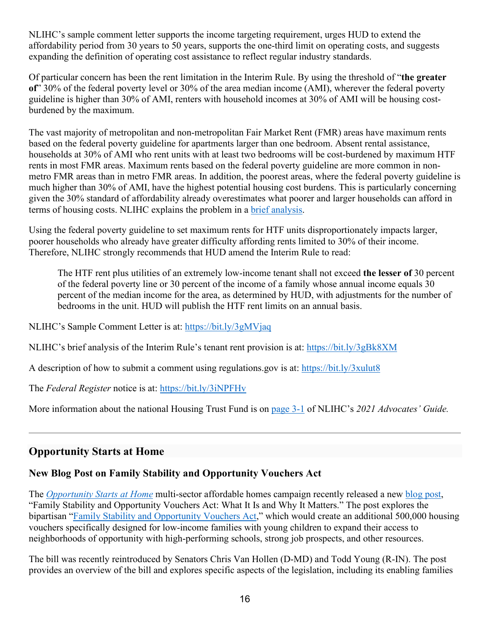NLIHC's sample comment letter supports the income targeting requirement, urges HUD to extend the affordability period from 30 years to 50 years, supports the one-third limit on operating costs, and suggests expanding the definition of operating cost assistance to reflect regular industry standards.

Of particular concern has been the rent limitation in the Interim Rule. By using the threshold of "**the greater of**" 30% of the federal poverty level or 30% of the area median income (AMI), wherever the federal poverty guideline is higher than 30% of AMI, renters with household incomes at 30% of AMI will be housing costburdened by the maximum.

The vast majority of metropolitan and non-metropolitan Fair Market Rent (FMR) areas have maximum rents based on the federal poverty guideline for apartments larger than one bedroom. Absent rental assistance, households at 30% of AMI who rent units with at least two bedrooms will be cost-burdened by maximum HTF rents in most FMR areas. Maximum rents based on the federal poverty guideline are more common in nonmetro FMR areas than in metro FMR areas. In addition, the poorest areas, where the federal poverty guideline is much higher than 30% of AMI, have the highest potential housing cost burdens. This is particularly concerning given the 30% standard of affordability already overestimates what poorer and larger households can afford in terms of housing costs. NLIHC explains the problem in a [brief analysis.](https://nlihc.org/sites/default/files/ANALYSIS_OF_INTERIM_HTF_RULES_TENANT_RENT_PROVISION.pdf)

Using the federal poverty guideline to set maximum rents for HTF units disproportionately impacts larger, poorer households who already have greater difficulty affording rents limited to 30% of their income. Therefore, NLIHC strongly recommends that HUD amend the Interim Rule to read:

The HTF rent plus utilities of an extremely low-income tenant shall not exceed **the lesser of** 30 percent of the federal poverty line or 30 percent of the income of a family whose annual income equals 30 percent of the median income for the area, as determined by HUD, with adjustments for the number of bedrooms in the unit. HUD will publish the HTF rent limits on an annual basis.

NLIHC's Sample Comment Letter is at:<https://bit.ly/3gMVjaq>

NLIHC's brief analysis of the Interim Rule's tenant rent provision is at:<https://bit.ly/3gBk8XM>

A description of how to submit a comment using regulations.gov is at:<https://bit.ly/3xulut8>

The *Federal Register* notice is at:<https://bit.ly/3iNPFHv>

More information about the national Housing Trust Fund is on [page 3-1](https://nlihc.org/sites/default/files/AG-2021/03-01_NHTF.pdf) of NLIHC's *2021 Advocates' Guide.*

# **Opportunity Starts at Home**

### **New Blog Post on Family Stability and Opportunity Vouchers Act**

The *[Opportunity Starts at Home](http://www.opportunityhome.org/)* multi-sector affordable homes campaign recently released a new [blog post,](https://www.opportunityhome.org/resources/family-stability-and-opportunity-vouchers-act-what-it-is-and-why-it-matters/) "Family Stability and Opportunity Vouchers Act: What It Is and Why It Matters." The post explores the bipartisan ["Family Stability and Opportunity Vouchers Act,](https://www.vanhollen.senate.gov/news/press-releases/van-hollen-young-reintroduce-legislation-to-boost-housing-mobility-vouchers-increase-americans-access-to-opportunity)" which would create an additional 500,000 housing vouchers specifically designed for low-income families with young children to expand their access to neighborhoods of opportunity with high-performing schools, strong job prospects, and other resources.

The bill was recently reintroduced by Senators Chris Van Hollen (D-MD) and Todd Young (R-IN). The post provides an overview of the bill and explores specific aspects of the legislation, including its enabling families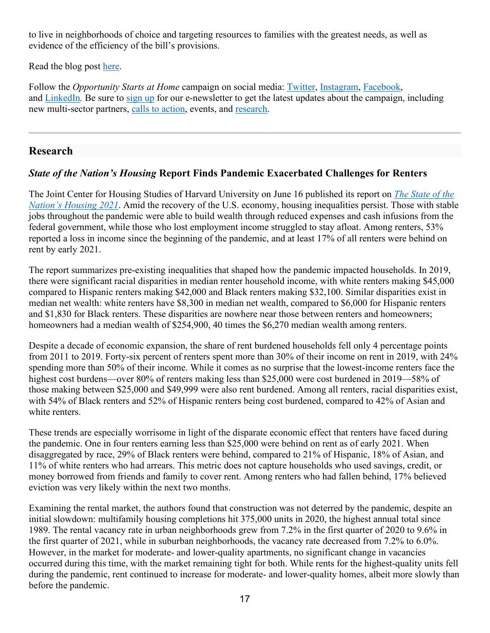to live in neighborhoods of choice and targeting resources to families with the greatest needs, as well as evidence of the efficiency of the bill's provisions.

Read the blog post [here.](https://www.opportunityhome.org/resources/family-stability-and-opportunity-vouchers-act-what-it-is-and-why-it-matters/)

Follow the *Opportunity Starts at Home* campaign on social media: [Twitter,](https://twitter.com/oppstartsathome) [Instagram,](https://www.instagram.com/oppstartsathome/) [Facebook,](https://www.facebook.com/oppstartsathome/) and [LinkedIn](https://www.linkedin.com/company/oppstartsathome/)*.* Be sure to [sign up](https://www.opportunityhome.org/take-action/lets-stand-together/) for our e-newsletter to get the latest updates about the campaign, including new multi-sector partners, [calls to](https://www.opportunityhome.org/take-action/) action, events, and [research.](https://www.opportunityhome.org/related-sectors/)

## **Research**

## *State of the Nation's Housing* **Report Finds Pandemic Exacerbated Challenges for Renters**

The Joint Center for Housing Studies of Harvard University on June 16 published its report on *[The State of the](https://www.jchs.harvard.edu/sites/default/files/reports/files/Harvard_JCHS_State_Nations_Housing_2021.pdf)  [Nation's Housing 2021](https://www.jchs.harvard.edu/sites/default/files/reports/files/Harvard_JCHS_State_Nations_Housing_2021.pdf)*. Amid the recovery of the U.S. economy, housing inequalities persist. Those with stable jobs throughout the pandemic were able to build wealth through reduced expenses and cash infusions from the federal government, while those who lost employment income struggled to stay afloat. Among renters, 53% reported a loss in income since the beginning of the pandemic, and at least 17% of all renters were behind on rent by early 2021.

The report summarizes pre-existing inequalities that shaped how the pandemic impacted households. In 2019, there were significant racial disparities in median renter household income, with white renters making \$45,000 compared to Hispanic renters making \$42,000 and Black renters making \$32,100. Similar disparities exist in median net wealth: white renters have \$8,300 in median net wealth, compared to \$6,000 for Hispanic renters and \$1,830 for Black renters. These disparities are nowhere near those between renters and homeowners; homeowners had a median wealth of \$254,900, 40 times the \$6,270 median wealth among renters.

Despite a decade of economic expansion, the share of rent burdened households fell only 4 percentage points from 2011 to 2019. Forty-six percent of renters spent more than 30% of their income on rent in 2019, with 24% spending more than 50% of their income. While it comes as no surprise that the lowest-income renters face the highest cost burdens—over 80% of renters making less than \$25,000 were cost burdened in 2019—58% of those making between \$25,000 and \$49,999 were also rent burdened. Among all renters, racial disparities exist, with 54% of Black renters and 52% of Hispanic renters being cost burdened, compared to 42% of Asian and white renters.

These trends are especially worrisome in light of the disparate economic effect that renters have faced during the pandemic. One in four renters earning less than \$25,000 were behind on rent as of early 2021. When disaggregated by race, 29% of Black renters were behind, compared to 21% of Hispanic, 18% of Asian, and 11% of white renters who had arrears. This metric does not capture households who used savings, credit, or money borrowed from friends and family to cover rent. Among renters who had fallen behind, 17% believed eviction was very likely within the next two months.

Examining the rental market, the authors found that construction was not deterred by the pandemic, despite an initial slowdown: multifamily housing completions hit 375,000 units in 2020, the highest annual total since 1989. The rental vacancy rate in urban neighborhoods grew from 7.2% in the first quarter of 2020 to 9.6% in the first quarter of 2021, while in suburban neighborhoods, the vacancy rate decreased from 7.2% to 6.0%. However, in the market for moderate- and lower-quality apartments, no significant change in vacancies occurred during this time, with the market remaining tight for both. While rents for the highest-quality units fell during the pandemic, rent continued to increase for moderate- and lower-quality homes, albeit more slowly than before the pandemic.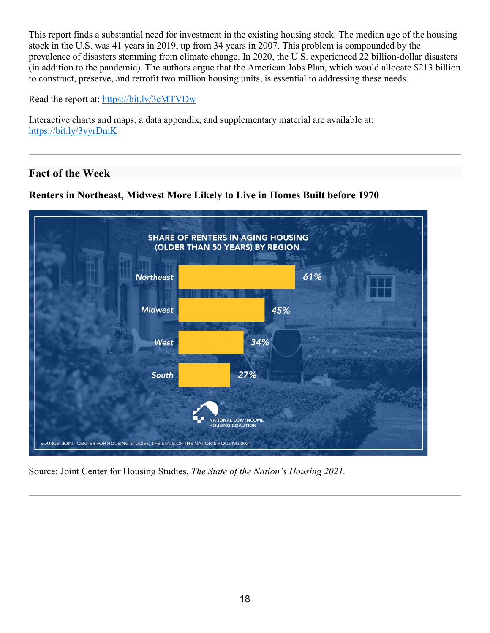This report finds a substantial need for investment in the existing housing stock. The median age of the housing stock in the U.S. was 41 years in 2019, up from 34 years in 2007. This problem is compounded by the prevalence of disasters stemming from climate change. In 2020, the U.S. experienced 22 billion-dollar disasters (in addition to the pandemic). The authors argue that the American Jobs Plan, which would allocate \$213 billion to construct, preserve, and retrofit two million housing units, is essential to addressing these needs.

Read the report at:<https://bit.ly/3cMTVDw>

Interactive charts and maps, a data appendix, and supplementary material are available at: <https://bit.ly/3vyrDmK>

## **Fact of the Week**





Source: Joint Center for Housing Studies, *The State of the Nation's Housing 2021.*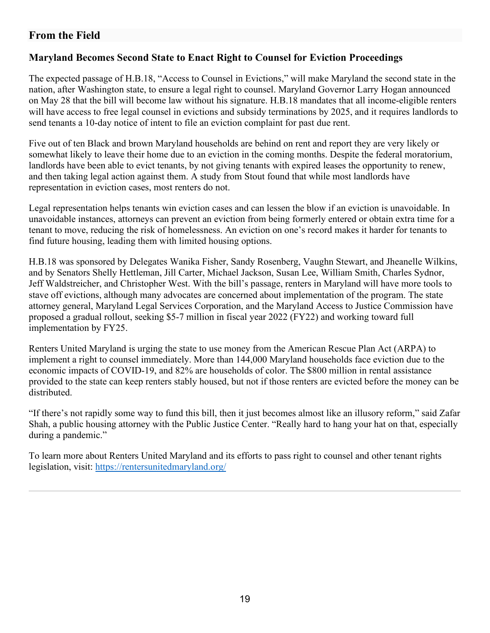## **From the Field**

### **Maryland Becomes Second State to Enact Right to Counsel for Eviction Proceedings**

The expected passage of H.B.18, "Access to Counsel in Evictions," will make Maryland the second state in the nation, after Washington state, to ensure a legal right to counsel. Maryland Governor Larry Hogan announced on May 28 that the bill will become law without his signature. H.B.18 mandates that all income-eligible renters will have access to free legal counsel in evictions and subsidy terminations by 2025, and it requires landlords to send tenants a 10-day notice of intent to file an eviction complaint for past due rent.

Five out of ten Black and brown Maryland households are behind on rent and report they are very likely or somewhat likely to leave their home due to an eviction in the coming months. Despite the federal moratorium, landlords have been able to evict tenants, by not giving tenants with expired leases the opportunity to renew, and then taking legal action against them. A study from Stout found that while most landlords have representation in eviction cases, most renters do not.

Legal representation helps tenants win eviction cases and can lessen the blow if an eviction is unavoidable. In unavoidable instances, attorneys can prevent an eviction from being formerly entered or obtain extra time for a tenant to move, reducing the risk of homelessness. An eviction on one's record makes it harder for tenants to find future housing, leading them with limited housing options.

H.B.18 was sponsored by Delegates Wanika Fisher, Sandy Rosenberg, Vaughn Stewart, and Jheanelle Wilkins, and by Senators Shelly Hettleman, Jill Carter, Michael Jackson, Susan Lee, William Smith, Charles Sydnor, Jeff Waldstreicher, and Christopher West. With the bill's passage, renters in Maryland will have more tools to stave off evictions, although many advocates are concerned about implementation of the program. The state attorney general, Maryland Legal Services Corporation, and the Maryland Access to Justice Commission have proposed a gradual rollout, seeking \$5-7 million in fiscal year 2022 (FY22) and working toward full implementation by FY25.

Renters United Maryland is urging the state to use money from the American Rescue Plan Act (ARPA) to implement a right to counsel immediately. More than 144,000 Maryland households face eviction due to the economic impacts of COVID-19, and 82% are households of color. The \$800 million in rental assistance provided to the state can keep renters stably housed, but not if those renters are evicted before the money can be distributed.

"If there's not rapidly some way to fund this bill, then it just becomes almost like an illusory reform," said Zafar Shah, a public housing attorney with the Public Justice Center. "Really hard to hang your hat on that, especially during a pandemic."

To learn more about Renters United Maryland and its efforts to pass right to counsel and other tenant rights legislation, visit:<https://rentersunitedmaryland.org/>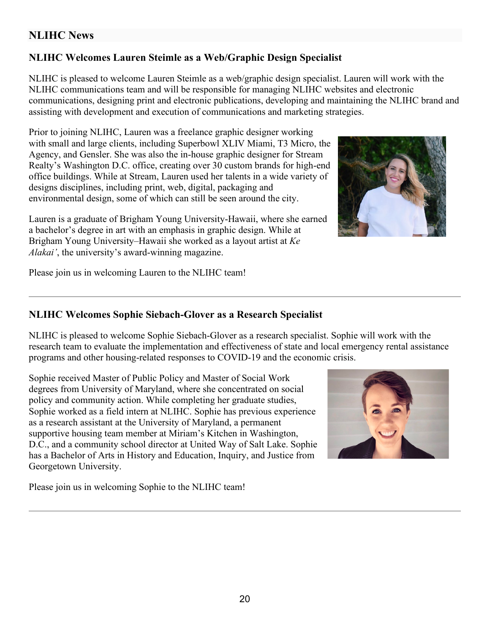## **NLIHC News**

## **NLIHC Welcomes Lauren Steimle as a Web/Graphic Design Specialist**

NLIHC is pleased to welcome Lauren Steimle as a web/graphic design specialist. Lauren will work with the NLIHC communications team and will be responsible for managing NLIHC websites and electronic communications, designing print and electronic publications, developing and maintaining the NLIHC brand and assisting with development and execution of communications and marketing strategies.

Prior to joining NLIHC, Lauren was a freelance graphic designer working with small and large clients, including Superbowl XLIV Miami, T3 Micro, the Agency, and Gensler. She was also the in-house graphic designer for Stream Realty's Washington D.C. office, creating over 30 custom brands for high-end office buildings. While at Stream, Lauren used her talents in a wide variety of designs disciplines, including print, web, digital, packaging and environmental design, some of which can still be seen around the city.

Lauren is a graduate of Brigham Young University-Hawaii, where she earned a bachelor's degree in art with an emphasis in graphic design. While at Brigham Young University–Hawaii she worked as a layout artist at *Ke Alakai'*, the university's award-winning magazine.

Please join us in welcoming Lauren to the NLIHC team!

### **NLIHC Welcomes Sophie Siebach-Glover as a Research Specialist**

NLIHC is pleased to welcome Sophie Siebach-Glover as a research specialist. Sophie will work with the research team to evaluate the implementation and effectiveness of state and local emergency rental assistance programs and other housing-related responses to COVID-19 and the economic crisis.

Sophie received Master of Public Policy and Master of Social Work degrees from University of Maryland, where she concentrated on social policy and community action. While completing her graduate studies, Sophie worked as a field intern at NLIHC. Sophie has previous experience as a research assistant at the University of Maryland, a permanent supportive housing team member at Miriam's Kitchen in Washington, D.C., and a community school director at United Way of Salt Lake. Sophie has a Bachelor of Arts in History and Education, Inquiry, and Justice from Georgetown University.

Please join us in welcoming Sophie to the NLIHC team!

20



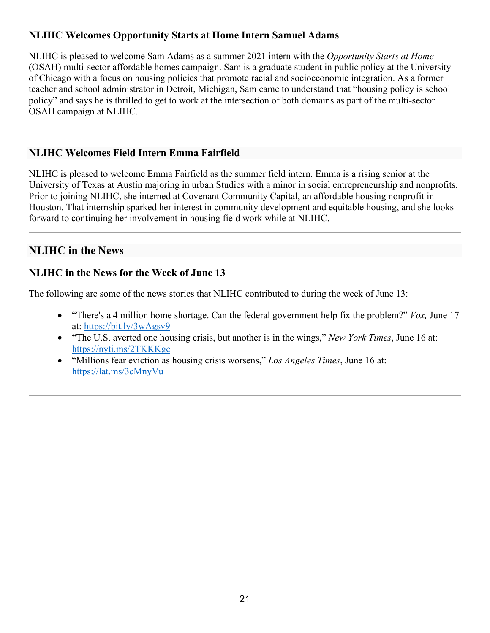## **NLIHC Welcomes Opportunity Starts at Home Intern Samuel Adams**

NLIHC is pleased to welcome Sam Adams as a summer 2021 intern with the *Opportunity Starts at Home* (OSAH) multi-sector affordable homes campaign. Sam is a graduate student in public policy at the University of Chicago with a focus on housing policies that promote racial and socioeconomic integration. As a former teacher and school administrator in Detroit, Michigan, Sam came to understand that "housing policy is school policy" and says he is thrilled to get to work at the intersection of both domains as part of the multi-sector OSAH campaign at NLIHC.

## **NLIHC Welcomes Field Intern Emma Fairfield**

NLIHC is pleased to welcome Emma Fairfield as the summer field intern. Emma is a rising senior at the University of Texas at Austin majoring in urban Studies with a minor in social entrepreneurship and nonprofits. Prior to joining NLIHC, she interned at Covenant Community Capital, an affordable housing nonprofit in Houston. That internship sparked her interest in community development and equitable housing, and she looks forward to continuing her involvement in housing field work while at NLIHC.

# **NLIHC in the News**

## **NLIHC in the News for the Week of June 13**

The following are some of the news stories that NLIHC contributed to during the week of June 13:

- "There's a 4 million home shortage. Can the federal government help fix the problem?" *Vox,* June 17 at:<https://bit.ly/3wAgsv9>
- "The U.S. averted one housing crisis, but another is in the wings," *New York Times*, June 16 at: <https://nyti.ms/2TKKKgc>
- "Millions fear eviction as housing crisis worsens," *Los Angeles Times*, June 16 at: <https://lat.ms/3cMnyVu>